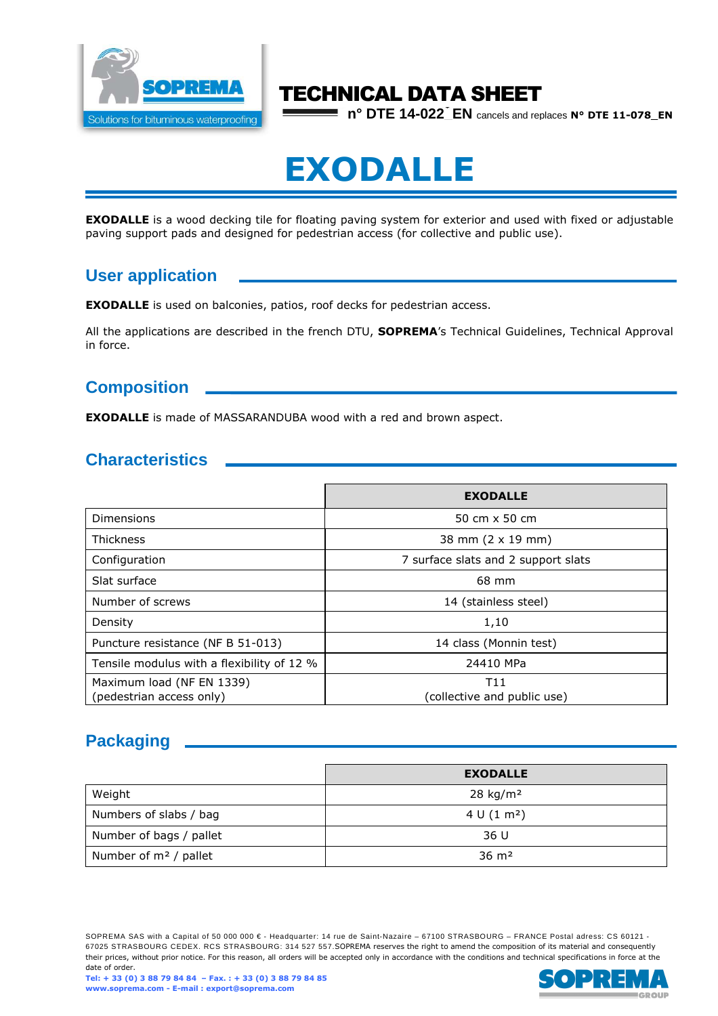

# TECHNICAL DATA SHEET

**n° DTE 14-022\_EN** cancels and replaces **N° DTE 11-078\_EN**

# **EXODALLE**

**EXODALLE** is a wood decking tile for floating paving system for exterior and used with fixed or adjustable paving support pads and designed for pedestrian access (for collective and public use).

# **User application**

**EXODALLE** is used on balconies, patios, roof decks for pedestrian access.

All the applications are described in the french DTU, **SOPREMA**'s Technical Guidelines, Technical Approval in force.

## **Composition**

**EXODALLE** is made of MASSARANDUBA wood with a red and brown aspect.

# **Characteristics**

|                                                       | <b>EXODALLE</b>                     |
|-------------------------------------------------------|-------------------------------------|
| Dimensions                                            | 50 cm $\times$ 50 cm                |
| Thickness                                             | 38 mm (2 x 19 mm)                   |
| Configuration                                         | 7 surface slats and 2 support slats |
| Slat surface                                          | 68 mm                               |
| Number of screws                                      | 14 (stainless steel)                |
| Density                                               | 1,10                                |
| Puncture resistance (NF B 51-013)                     | 14 class (Monnin test)              |
| Tensile modulus with a flexibility of 12 %            | 24410 MPa                           |
| Maximum load (NF EN 1339)<br>(pedestrian access only) | T11<br>(collective and public use)  |

# **Packaging**

|                          | <b>EXODALLE</b>         |
|--------------------------|-------------------------|
| Weight                   | $28$ kg/m <sup>2</sup>  |
| Numbers of slabs / bag   | 4 U (1 m <sup>2</sup> ) |
| Number of bags / pallet  | 36 U                    |
| Number of $m^2$ / pallet | $36 \text{ m}^2$        |

SOPREMA SAS with a Capital of 50 000 000 € - Headquarter: 14 rue de Saint-Nazaire – 67100 STRASBOURG – FRANCE Postal adress: CS 60121 -67025 STRASBOURG CEDEX. RCS STRASBOURG: 314 527 557.SOPREMA reserves the right to amend the composition of its material and consequently their prices, without prior notice. For this reason, all orders will be accepted only in accordance with the conditions and technical specifications in force at the date of order.